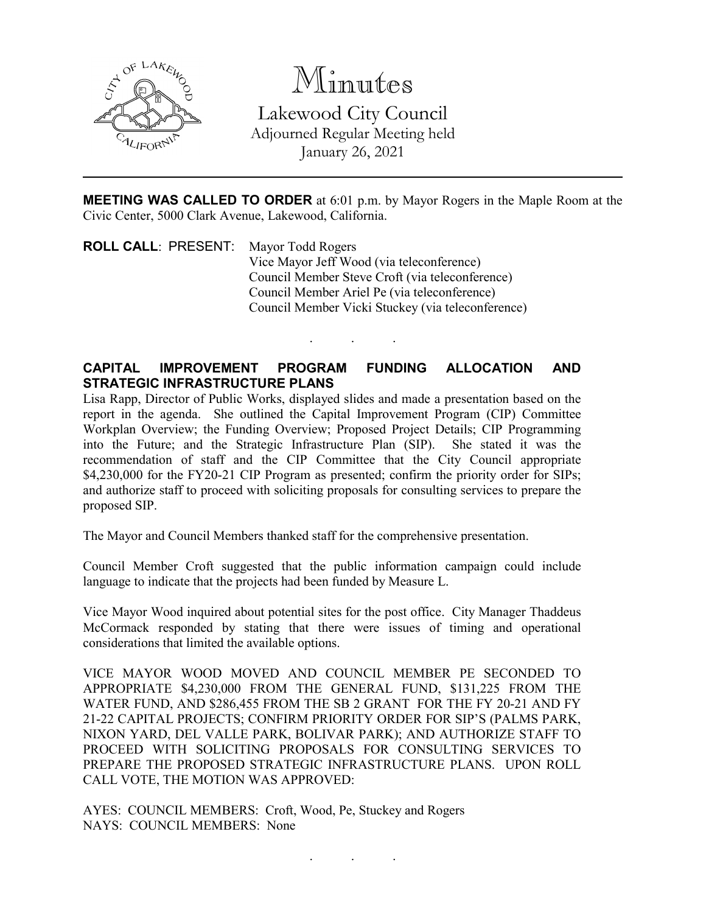

Minutes Lakewood City Council Adjourned Regular Meeting held January 26, 2021

**MEETING WAS CALLED TO ORDER** at 6:01 p.m. by Mayor Rogers in the Maple Room at the Civic Center, 5000 Clark Avenue, Lakewood, California.

**ROLL CALL**: PRESENT: Mayor Todd Rogers Vice Mayor Jeff Wood (via teleconference) Council Member Steve Croft (via teleconference) Council Member Ariel Pe (via teleconference) Council Member Vicki Stuckey (via teleconference)

## **CAPITAL IMPROVEMENT PROGRAM FUNDING ALLOCATION AND STRATEGIC INFRASTRUCTURE PLANS**

. . .

Lisa Rapp, Director of Public Works, displayed slides and made a presentation based on the report in the agenda. She outlined the Capital Improvement Program (CIP) Committee Workplan Overview; the Funding Overview; Proposed Project Details; CIP Programming into the Future; and the Strategic Infrastructure Plan (SIP). She stated it was the into the Future; and the Strategic Infrastructure Plan (SIP). recommendation of staff and the CIP Committee that the City Council appropriate \$4,230,000 for the FY20-21 CIP Program as presented; confirm the priority order for SIPs; and authorize staff to proceed with soliciting proposals for consulting services to prepare the proposed SIP.

The Mayor and Council Members thanked staff for the comprehensive presentation.

Council Member Croft suggested that the public information campaign could include language to indicate that the projects had been funded by Measure L.

Vice Mayor Wood inquired about potential sites for the post office. City Manager Thaddeus McCormack responded by stating that there were issues of timing and operational considerations that limited the available options.

VICE MAYOR WOOD MOVED AND COUNCIL MEMBER PE SECONDED TO APPROPRIATE \$4,230,000 FROM THE GENERAL FUND, \$131,225 FROM THE WATER FUND, AND \$286,455 FROM THE SB 2 GRANT FOR THE FY 20-21 AND FY 21-22 CAPITAL PROJECTS; CONFIRM PRIORITY ORDER FOR SIP'S (PALMS PARK, NIXON YARD, DEL VALLE PARK, BOLIVAR PARK); AND AUTHORIZE STAFF TO PROCEED WITH SOLICITING PROPOSALS FOR CONSULTING SERVICES TO PREPARE THE PROPOSED STRATEGIC INFRASTRUCTURE PLANS. UPON ROLL CALL VOTE, THE MOTION WAS APPROVED:

. . .

AYES: COUNCIL MEMBERS: Croft, Wood, Pe, Stuckey and Rogers NAYS: COUNCIL MEMBERS: None